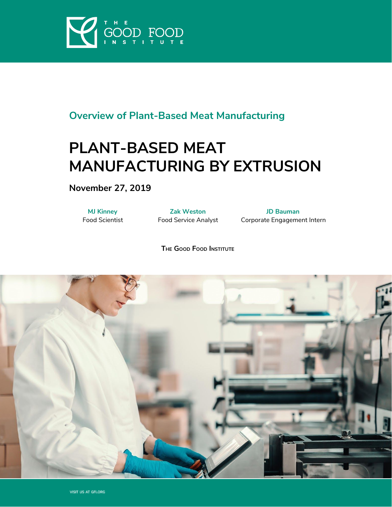

# **Overview of Plant-Based Meat Manufacturing**

# **PLANT-BASED MEAT MANUFACTURING BY EXTRUSION**

**November 27, 2019**

**MJ Kinney** Food Scientist

**Zak Weston** Food Service Analyst

**JD Bauman** Corporate Engagement Intern

**THE GOOD FOOD INSTITUTE**

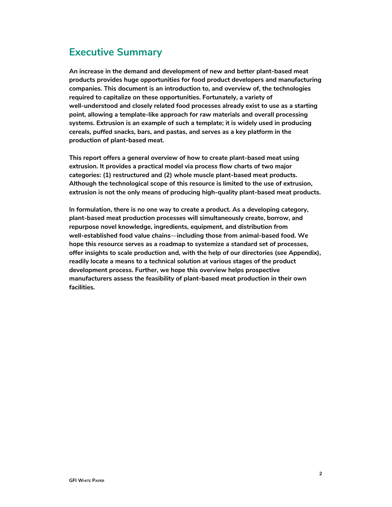# <span id="page-1-0"></span>**Executive Summary**

**An increase in the demand and development of new and better plant-based meat products provides huge opportunities for food product developers and manufacturing companies. This document is an introduction to, and overview of, the technologies required to capitalize on these opportunities. Fortunately, a variety of well-understood and closely related food processes already exist to use as a starting point, allowing a template-like approach for raw materials and overall processing systems. Extrusion is an example of such a template; it is widely used in producing cereals, puffed snacks, bars, and pastas, and serves as a key platform in the production of plant-based meat.**

**This report offers a general overview of how to create plant-based meat using extrusion. It provides a practical model via process flow charts of two major categories: (1) restructured and (2) whole muscle plant-based meat products. Although the technological scope of this resource is limited to the use of extrusion, extrusion is not the only means of producing high-quality plant-based meat products.**

**In formulation, there is no one way to create a product. As a developing category, plant-based meat production processes will simultaneously create, borrow, and repurpose novel knowledge, ingredients, equipment, and distribution from well-established food value chains**—**including those from animal-based food. We hope this resource serves as a roadmap to systemize a standard set of processes, offer insights to scale production and, with the help of our directories (see Appendix), readily locate a means to a technical solution at various stages of the product development process. Further, we hope this overview helps prospective manufacturers assess the feasibility of plant-based meat production in their own facilities.**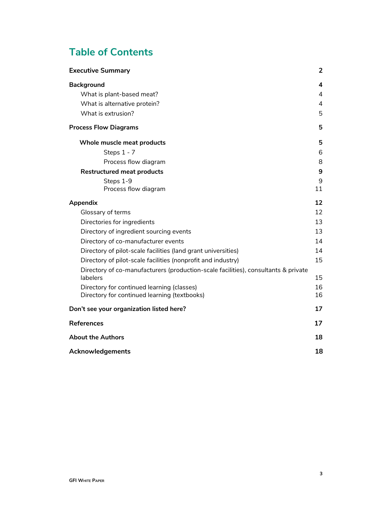# **Table of Contents**

<span id="page-2-0"></span>

| <b>Executive Summary</b>                                                                       | 2       |
|------------------------------------------------------------------------------------------------|---------|
| <b>Background</b>                                                                              | 4       |
| What is plant-based meat?                                                                      | 4       |
| What is alternative protein?                                                                   | 4       |
| What is extrusion?                                                                             | 5       |
| <b>Process Flow Diagrams</b>                                                                   | 5       |
| Whole muscle meat products                                                                     | 5       |
| Steps 1 - 7                                                                                    | 6       |
| Process flow diagram                                                                           | 8       |
| <b>Restructured meat products</b>                                                              | 9       |
| Steps 1-9<br>Process flow diagram                                                              | 9<br>11 |
| Appendix                                                                                       | 12      |
| Glossary of terms                                                                              | 12      |
| Directories for ingredients                                                                    | 13      |
| Directory of ingredient sourcing events                                                        | 13      |
| Directory of co-manufacturer events                                                            | 14      |
| Directory of pilot-scale facilities (land grant universities)                                  | 14      |
| Directory of pilot-scale facilities (nonprofit and industry)                                   | 15      |
| Directory of co-manufacturers (production-scale facilities), consultants & private<br>labelers | 15      |
| Directory for continued learning (classes)                                                     | 16      |
| Directory for continued learning (textbooks)                                                   | 16      |
| Don't see your organization listed here?                                                       | 17      |
| <b>References</b>                                                                              | 17      |
| <b>About the Authors</b>                                                                       | 18      |
| Acknowledgements                                                                               | 18      |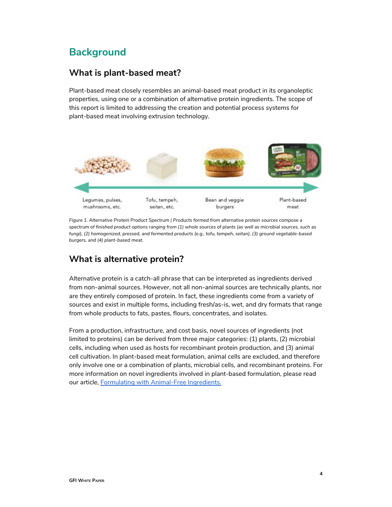# **Background**

### <span id="page-3-0"></span>**What is plant-based meat?**

Plant-based meat closely resembles an animal-based meat product in its organoleptic properties, using one or a combination of alternative protein ingredients. The scope of this report is limited to addressing the creation and potential process systems for plant-based meat involving extrusion technology.



*Figure 1. Alternative Protein Product Spectrum | Products formed from alternative protein sources compose a* spectrum of finished product options ranging from (1) whole sources of plants (as well as microbial sources, such as *fungi), (2) homogenized, pressed, and fermented products (e.g., tofu, tempeh, seitan), (3) ground vegetable-based burgers, and (4) plant-based meat.*

### <span id="page-3-1"></span>**What is alternative protein?**

Alternative protein is a catch-all phrase that can be interpreted as ingredients derived from non-animal sources. However, not all non-animal sources are technically plants, nor are they entirely composed of protein. In fact, these ingredients come from a variety of sources and exist in multiple forms, including fresh/as-is, wet, and dry formats that range from whole products to fats, pastes, flours, concentrates, and isolates.

From a production, infrastructure, and cost basis, novel sources of ingredients (not limited to proteins) can be derived from three major categories: (1) plants, (2) microbial cells, including when used as hosts for recombinant protein production, and (3) animal cell cultivation. In plant-based meat formulation, animal cells are excluded, and therefore only involve one or a combination of plants, microbial cells, and recombinant proteins. For more information on novel ingredients involved in plant-based formulation, please read our article, Formulating with [Animal-Free](https://www.gfi.org/images/uploads/2019/06/IFTJune2019Animalfreeformulations.pdf) Ingredients.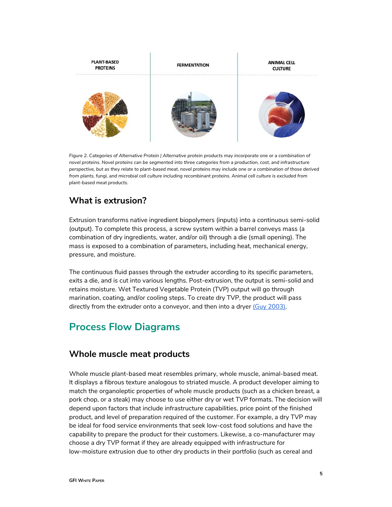

Figure 2. Categories of Alternative Protein | Alternative protein products may incorporate one or a combination of novel proteins. Novel proteins can be segmented into three categories from a production, cost, and infrastructure perspective, but as they relate to plant-based meat, novel proteins may include one or a combination of those derived from plants, fungi, and microbial cell culture including recombinant proteins. Animal cell culture is excluded from *plant-based meat products.*

### <span id="page-4-0"></span>**What is extrusion?**

Extrusion transforms native ingredient biopolymers (inputs) into a continuous semi-solid (output). To complete this process, a screw system within a barrel conveys mass (a combination of dry ingredients, water, and/or oil) through a die (small opening). The mass is exposed to a combination of parameters, including heat, mechanical energy, pressure, and moisture.

The continuous fluid passes through the extruder according to its specific parameters, exits a die, and is cut into various lengths. Post-extrusion, the output is semi-solid and retains moisture. Wet Textured Vegetable Protein (TVP) output will go through marination, coating, and/or cooling steps. To create dry TVP, the product will pass directly from the extruder onto a conveyor, and then into a dryer (Guy [2003\).](https://paperpile.com/c/bOcs5N/pt2I)

# **Process Flow Diagrams**

### **Whole muscle meat products**

Whole muscle plant-based meat resembles primary, whole muscle, animal-based meat. It displays a fibrous texture analogous to striated muscle. A product developer aiming to match the organoleptic properties of whole muscle products (such as a chicken breast, a pork chop, or a steak) may choose to use either dry or wet TVP formats. The decision will depend upon factors that include infrastructure capabilities, price point of the finished product, and level of preparation required of the customer. For example, a dry TVP may be ideal for food service environments that seek low-cost food solutions and have the capability to prepare the product for their customers. Likewise, a co-manufacturer may choose a dry TVP format if they are already equipped with infrastructure for low-moisture extrusion due to other dry products in their portfolio (such as cereal and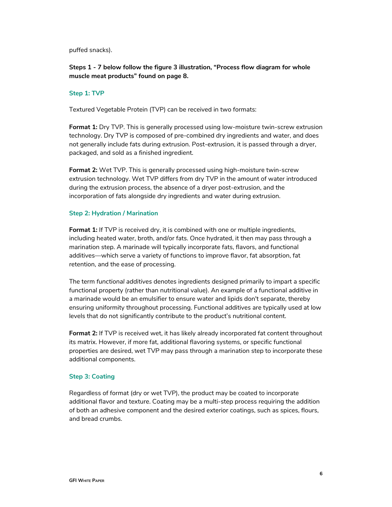puffed snacks).

#### **Steps 1 - 7 below follow the figure 3 illustration, "Process flow diagram for whole muscle meat products" found on page 8.**

#### <span id="page-5-0"></span>**Step 1: TVP**

Textured Vegetable Protein (TVP) can be received in two formats:

**Format 1:** Dry TVP. This is generally processed using low-moisture twin-screw extrusion technology. Dry TVP is composed of pre-combined dry ingredients and water, and does not generally include fats during extrusion. Post-extrusion, it is passed through a dryer, packaged, and sold as a finished ingredient.

**Format 2:** Wet TVP. This is generally processed using high-moisture twin-screw extrusion technology. Wet TVP differs from dry TVP in the amount of water introduced during the extrusion process, the absence of a dryer post-extrusion, and the incorporation of fats alongside dry ingredients and water during extrusion.

#### **Step 2: Hydration / Marination**

**Format 1:** If TVP is received dry, it is combined with one or multiple ingredients, including heated water, broth, and/or fats. Once hydrated, it then may pass through a marination step. A marinade will typically incorporate fats, flavors, and functional additives—which serve a variety of functions to improve flavor, fat absorption, fat retention, and the ease of processing.

The term *functional additives* denotes ingredients designed primarily to impart a specific functional property (rather than nutritional value). An example of a functional additive in a marinade would be an emulsifier to ensure water and lipids don't separate, thereby ensuring uniformity throughout processing. Functional additives are typically used at low levels that do not significantly contribute to the product's nutritional content.

**Format 2:** If TVP is received wet, it has likely already incorporated fat content throughout its matrix. However, if more fat, additional flavoring systems, or specific functional properties are desired, wet TVP may pass through a marination step to incorporate these additional components.

#### **Step 3: Coating**

Regardless of format (dry or wet TVP), the product may be coated to incorporate additional flavor and texture. Coating may be a multi-step process requiring the addition of both an adhesive component and the desired exterior coatings, such as spices, flours, and bread crumbs.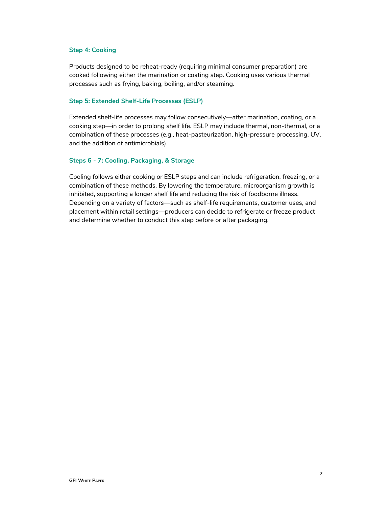#### **Step 4: Cooking**

Products designed to be reheat-ready (requiring minimal consumer preparation) are cooked following either the marination or coating step. Cooking uses various thermal processes such as frying, baking, boiling, and/or steaming.

#### **Step 5: Extended Shelf-Life Processes (ESLP)**

Extended shelf-life processes may follow consecutively—after marination, coating, or a cooking step—in order to prolong shelf life. ESLP may include thermal, non-thermal, or a combination of these processes (e.g., heat-pasteurization, high-pressure processing, UV, and the addition of antimicrobials).

#### <span id="page-6-0"></span>**Steps 6 - 7: Cooling, Packaging, & Storage**

Cooling follows either cooking or ESLP steps and can include refrigeration, freezing, or a combination of these methods. By lowering the temperature, microorganism growth is inhibited, supporting a longer shelf life and reducing the risk of foodborne illness. Depending on a variety of factors—such as shelf-life requirements, customer uses, and placement within retail settings—producers can decide to refrigerate or freeze product and determine whether to conduct this step before or after packaging.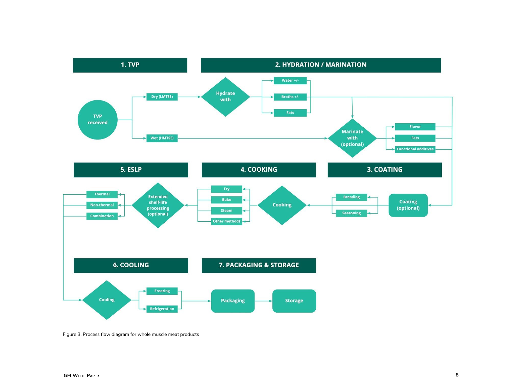

Figure 3. Process flow diagram for whole muscle meat products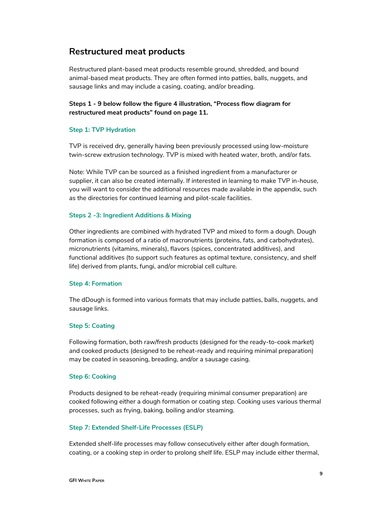### **Restructured meat products**

Restructured plant-based meat products resemble ground, shredded, and bound animal-based meat products. They are often formed into patties, balls, nuggets, and sausage links and may include a casing, coating, and/or breading.

#### **Steps 1 - 9 below follow the figure 4 illustration, "Process flow diagram for restructured meat products" found on page 11.**

#### <span id="page-8-0"></span>**Step 1: TVP Hydration**

TVP is received dry, generally having been previously processed using low-moisture twin-screw extrusion technology. TVP is mixed with heated water, broth, and/or fats.

Note: While TVP can be sourced as a finished ingredient from a manufacturer or supplier, it can also be created internally. If interested in learning to make TVP in-house, you will want to consider the additional resources made available in the appendix, such as the directories for continued learning and pilot-scale facilities.

#### **Steps 2 -3: Ingredient Additions & Mixing**

Other ingredients are combined with hydrated TVP and mixed to form a dough. Dough formation is composed of a ratio of macronutrients (proteins, fats, and carbohydrates), micronutrients (vitamins, minerals), flavors (spices, concentrated additives), and functional additives (to support such features as optimal texture, consistency, and shelf life) derived from plants, fungi, and/or microbial cell culture.

#### **Step 4: Formation**

The dDough is formed into various formats that may include patties, balls, nuggets, and sausage links.

#### **Step 5: Coating**

Following formation, both raw/fresh products (designed for the ready-to-cook market) and cooked products (designed to be reheat-ready and requiring minimal preparation) may be coated in seasoning, breading, and/or a sausage casing.

#### **Step 6: Cooking**

Products designed to be reheat-ready (requiring minimal consumer preparation) are cooked following either a dough formation or coating step. Cooking uses various thermal processes, such as frying, baking, boiling and/or steaming.

#### **Step 7: Extended Shelf-Life Processes (ESLP)**

Extended shelf-life processes may follow consecutively either after dough formation, coating, or a cooking step in order to prolong shelf life. ESLP may include either thermal,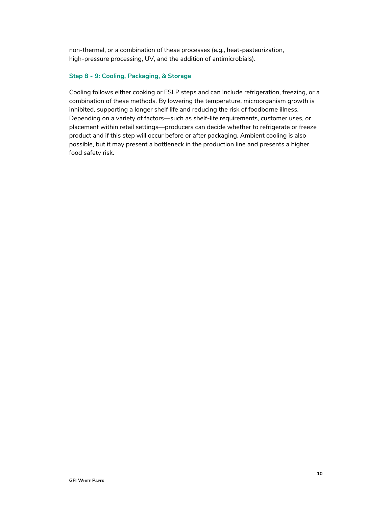non-thermal, or a combination of these processes (e.g., heat-pasteurization, high-pressure processing, UV, and the addition of antimicrobials).

#### **Step 8 - 9: Cooling, Packaging, & Storage**

Cooling follows either cooking or ESLP steps and can include refrigeration, freezing, or a combination of these methods. By lowering the temperature, microorganism growth is inhibited, supporting a longer shelf life and reducing the risk of foodborne illness. Depending on a variety of factors—such as shelf-life requirements, customer uses, or placement within retail settings—producers can decide whether to refrigerate or freeze product and if this step will occur before or after packaging. Ambient cooling is also possible, but it may present a bottleneck in the production line and presents a higher food safety risk.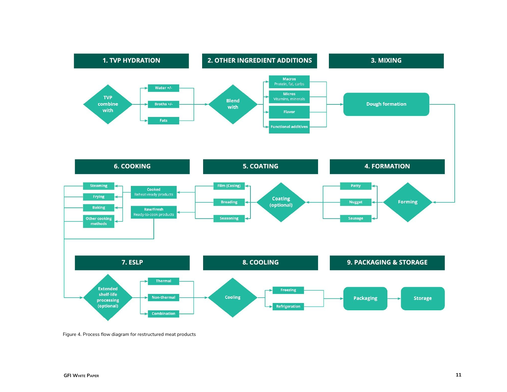

Figure 4. Process flow diagram for restructured meat products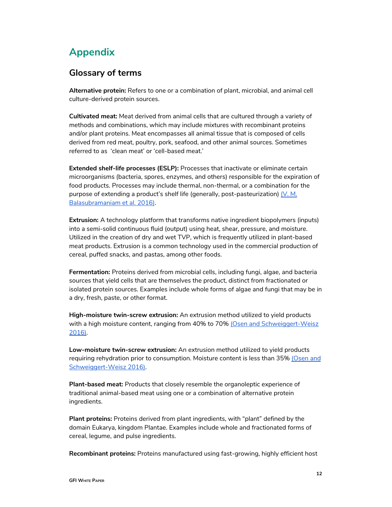# <span id="page-11-0"></span>**Appendix**

### **Glossary of terms**

**Alternative protein:** Refers to one or a combination of plant, microbial, and animal cell culture-derived protein sources.

**Cultivated meat:** Meat derived from animal cells that are cultured through a variety of methods and combinations, which may include mixtures with recombinant proteins and/or plant proteins. Meat encompasses all animal tissue that is composed of cells derived from red meat, poultry, pork, seafood, and other animal sources. Sometimes referred to as 'clean meat' or 'cell-based meat.'

**Extended shelf-life processes (ESLP):** Processes that inactivate or eliminate certain microorganisms (bacteria, spores, enzymes, and others) responsible for the expiration of food products. Processes may include thermal, non-thermal, or a combination for the purpose of extending a product's shelf life (generally, post-pasteurization) [\(V. M.](https://paperpile.com/c/bOcs5N/w4ek) [Balasubramaniam et al. 2016\).](https://paperpile.com/c/bOcs5N/w4ek)

**Extrusion:** A technology platform that transforms native ingredient biopolymers (inputs) into a semi-solid continuous fluid (output) using heat, shear, pressure, and moisture. Utilized in the creation of dry and wet TVP, which is frequently utilized in plant-based meat products. Extrusion is a common technology used in the commercial production of cereal, puffed snacks, and pastas, among other foods.

**Fermentation:** Proteins derived from microbial cells, including fungi, algae, and bacteria sources that yield cells that are themselves the product, distinct from fractionated or isolated protein sources. Examples include whole forms of algae and fungi that may be in a dry, fresh, paste, or other format.

**High-moisture twin-screw extrusion:** An extrusion method utilized to yield products with a high moisture content, ranging from 40% to 70% [\(Osen and Schweiggert-Weisz](https://paperpile.com/c/bOcs5N/KJSa) [2016\)](https://paperpile.com/c/bOcs5N/KJSa).

**Low-moisture twin-screw extrusion:** An extrusion method utilized to yield products requiring rehydration prior to consumption. Moisture content is less than 35% [\(Osen and](https://paperpile.com/c/bOcs5N/KJSa) [Schweiggert-Weisz 2016\).](https://paperpile.com/c/bOcs5N/KJSa)

**Plant-based meat:** Products that closely resemble the organoleptic experience of traditional animal-based meat using one or a combination of alternative protein ingredients.

**Plant proteins:** Proteins derived from plant ingredients, with "plant" defined by the domain Eukarya, kingdom Plantae. Examples include whole and fractionated forms of cereal, legume, and pulse ingredients.

**Recombinant proteins:** Proteins manufactured using fast-growing, highly efficient host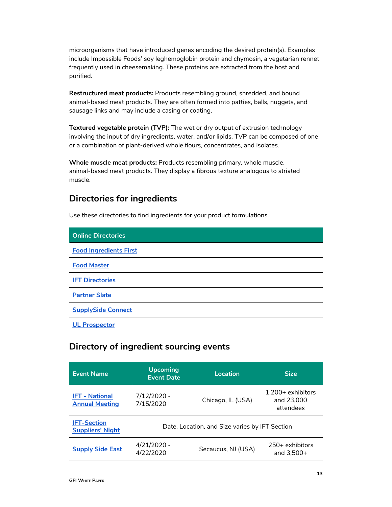microorganisms that have introduced genes encoding the desired protein(s). Examples include Impossible Foods' soy leghemoglobin protein and chymosin, a vegetarian rennet frequently used in cheesemaking. These proteins are extracted from the host and purified.

**Restructured meat products:** Products resembling ground, shredded, and bound animal-based meat products. They are often formed into patties, balls, nuggets, and sausage links and may include a casing or coating.

**Textured vegetable protein (TVP):** The wet or dry output of extrusion technology involving the input of dry ingredients, water, and/or lipids. TVP can be composed of one or a combination of plant-derived whole flours, concentrates, and isolates.

**Whole muscle meat products:** Products resembling primary, whole muscle, animal-based meat products. They display a fibrous texture analogous to striated muscle.

### <span id="page-12-0"></span>**Directories for ingredients**

Use these directories to find ingredients for your product formulations.

| <b>Online Directories</b>     |
|-------------------------------|
| <b>Food Ingredients First</b> |
| <b>Food Master</b>            |
| <b>IFT Directories</b>        |
| <b>Partner Slate</b>          |
| <b>SupplySide Connect</b>     |
| <b>UL Prospector</b>          |

### <span id="page-12-1"></span>**Directory of ingredient sourcing events**

| <b>Event Name</b>                              | <b>Upcoming</b><br><b>Event Date</b> | Location                                       | <b>Size</b>                                    |
|------------------------------------------------|--------------------------------------|------------------------------------------------|------------------------------------------------|
| <b>IFT - National</b><br><b>Annual Meeting</b> | 7/12/2020 -<br>7/15/2020             | Chicago, IL (USA)                              | $1.200+$ exhibitors<br>and 23,000<br>attendees |
| <b>IFT-Section</b><br><b>Suppliers' Night</b>  |                                      | Date, Location, and Size varies by IFT Section |                                                |
| <b>Supply Side East</b>                        | 4/21/2020 -<br>4/22/2020             | Secaucus, NJ (USA)                             | $250+$ exhibitors<br>and $3,500+$              |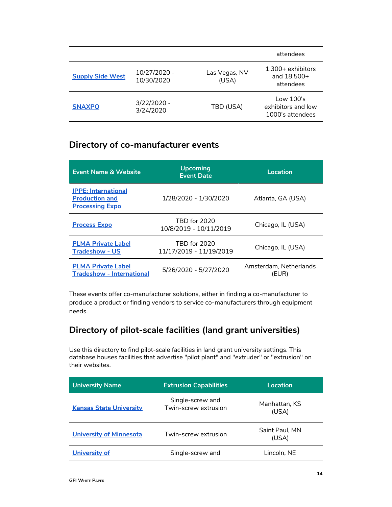|                         |                            |                        | attendees                                           |
|-------------------------|----------------------------|------------------------|-----------------------------------------------------|
| <b>Supply Side West</b> | 10/27/2020 -<br>10/30/2020 | Las Vegas, NV<br>(USA) | $1,300+$ exhibitors<br>and 18,500+<br>attendees     |
| <b>SNAXPO</b>           | 3/22/2020 -<br>3/24/2020   | TBD (USA)              | Low 100's<br>exhibitors and low<br>1000's attendees |

### **Directory of co-manufacturer events**

| <b>Event Name &amp; Website</b>                                               | <b>Upcoming</b><br><b>Event Date</b>          | Location                        |
|-------------------------------------------------------------------------------|-----------------------------------------------|---------------------------------|
| <b>IPPE: International</b><br><b>Production and</b><br><b>Processing Expo</b> | 1/28/2020 - 1/30/2020                         | Atlanta, GA (USA)               |
| <b>Process Expo</b>                                                           | <b>TRD for 2020</b><br>10/8/2019 - 10/11/2019 | Chicago, IL (USA)               |
| <b>PLMA Private Label</b><br><b>Tradeshow - US</b>                            | TBD for 2020<br>11/17/2019 - 11/19/2019       | Chicago, IL (USA)               |
| <b>PLMA Private Label</b><br><b>Tradeshow - International</b>                 | 5/26/2020 - 5/27/2020                         | Amsterdam, Netherlands<br>(EUR) |

These events offer co-manufacturer solutions, either in finding a co-manufacturer to produce a product or finding vendors to service co-manufacturers through equipment needs.

### **Directory of pilot-scale facilities (land grant universities)**

Use this directory to find pilot-scale facilities in land grant university settings. This database houses facilities that advertise "pilot plant" and "extruder" or "extrusion" on their websites.

| <b>University Name</b>         | <b>Extrusion Capabilities</b>            | Location                |
|--------------------------------|------------------------------------------|-------------------------|
| <b>Kansas State University</b> | Single-screw and<br>Twin-screw extrusion | Manhattan, KS<br>(USA)  |
| <b>University of Minnesota</b> | Twin-screw extrusion                     | Saint Paul, MN<br>(USA) |
| University of                  | Single-screw and                         | Lincoln, NE             |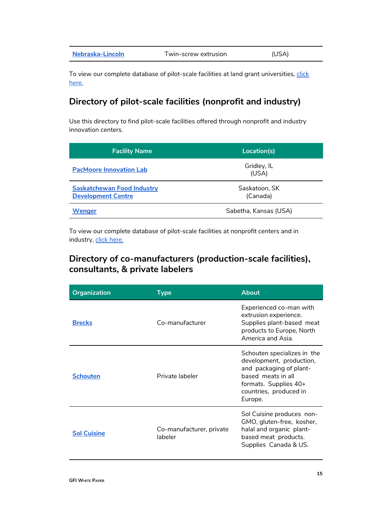| Nebraska-Lincoln | Twin-screw extrusion | (USA) |  |
|------------------|----------------------|-------|--|
|------------------|----------------------|-------|--|

To view our complete database of pilot-scale facilities at land grant universities, [click](https://docs.google.com/spreadsheets/d/1uhhrE8_Fv8GFsJWxv95C2CzWOmHYqzAKj8ECTlmMKzc/edit?usp=sharing) [here.](https://docs.google.com/spreadsheets/d/1uhhrE8_Fv8GFsJWxv95C2CzWOmHYqzAKj8ECTlmMKzc/edit?usp=sharing)

### **Directory of pilot-scale facilities (nonprofit and industry)**

Use this directory to find pilot-scale facilities offered through nonprofit and industry innovation centers.

| <b>Facility Name</b>                                           | Location(s)               |
|----------------------------------------------------------------|---------------------------|
| <b>PacMoore Innovation Lab</b>                                 | Gridley, IL<br>(USA)      |
| <b>Saskatchewan Food Industry</b><br><b>Development Centre</b> | Saskatoon, SK<br>(Canada) |
| Wenger                                                         | Sabetha, Kansas (USA)     |

To view our complete database of pilot-scale facilities at nonprofit centers and in industry, [click here.](https://docs.google.com/spreadsheets/d/1nWQFxwd8bIdv8XUn3YkTSgPZJbu8XnFw4wDWslKUqBs/edit?usp=sharing)

### <span id="page-14-0"></span>**Directory of co-manufacturers (production-scale facilities), consultants, & private labelers**

| <b>Organization</b> | Type                                | <b>About</b>                                                                                                                                                           |
|---------------------|-------------------------------------|------------------------------------------------------------------------------------------------------------------------------------------------------------------------|
| <b>Brecks</b>       | Co-manufacturer                     | Experienced co-man with<br>extrusion experience.<br>Supplies plant-based meat<br>products to Europe, North<br>America and Asia.                                        |
| <b>Schouten</b>     | Private labeler                     | Schouten specializes in the<br>development, production,<br>and packaging of plant-<br>based meats in all<br>formats. Supplies 40+<br>countries, produced in<br>Europe. |
| <b>Sol Cuisine</b>  | Co-manufacturer, private<br>labeler | Sol Cuisine produces non-<br>GMO, gluten-free, kosher,<br>halal and organic plant-<br>based meat products.<br>Supplies Canada & US.                                    |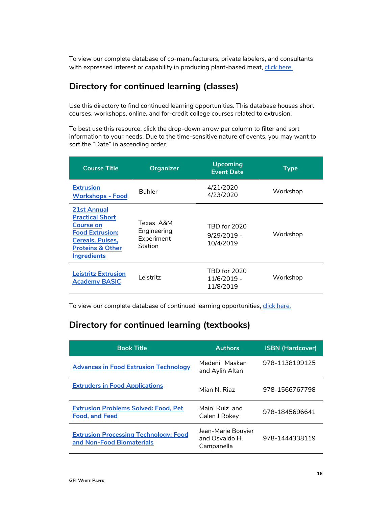To view our complete database of co-manufacturers, private labelers, and consultants with expressed interest or capability in producing plant-based meat, [click here.](https://docs.google.com/document/d/1h0vGxUszIH157lj2YCr4sh0-FYymnZeWPCXFmcsqA30/edit?usp=sharing)

### **Directory for continued learning (classes)**

Use this directory to find continued learning opportunities. This database houses short courses, workshops, online, and for-credit college courses related to extrusion.

To best use this resource, click the drop-down arrow per column to filter and sort information to your needs. Due to the time-sensitive nature of events, you may want to sort the "Date" in ascending order.

| <b>Course Title</b>                                                                                                                                                 | <b>Organizer</b>                                  | <b>Upcoming</b><br><b>Event Date</b>       | <b>Type</b> |
|---------------------------------------------------------------------------------------------------------------------------------------------------------------------|---------------------------------------------------|--------------------------------------------|-------------|
| <b>Extrusion</b><br><b>Workshops - Food</b>                                                                                                                         | <b>Buhler</b>                                     | 4/21/2020<br>4/23/2020                     | Workshop    |
| 21st Annual<br><b>Practical Short</b><br><b>Course on</b><br><b>Food Extrusion:</b><br><b>Cereals, Pulses,</b><br><b>Proteins &amp; Other</b><br><b>Ingredients</b> | Texas A&M<br>Engineering<br>Experiment<br>Station | TBD for 2020<br>$9/29/2019 -$<br>10/4/2019 | Workshop    |
| <b>Leistritz Extrusion</b><br><b>Academy BASIC</b>                                                                                                                  | Leistritz                                         | TBD for 2020<br>11/6/2019 -<br>11/8/2019   | Workshop    |

To view our complete database of continued learning opportunities, [click here.](https://docs.google.com/spreadsheets/d/1v6vrQSPj1g97lVMBLXNonhmhiVz1qR5Kwq77cWjeR10/edit?usp=sharing)

### **Directory for continued learning (textbooks)**

| <b>Book Title</b>                                                         | <b>Authors</b>                                     | <b>ISBN (Hardcover)</b> |
|---------------------------------------------------------------------------|----------------------------------------------------|-------------------------|
| <b>Advances in Food Extrusion Technology</b>                              | Medeni Maskan<br>and Aylin Altan                   | 978-1138199125          |
| <b>Extruders in Food Applications</b>                                     | Mian N Riaz                                        | 978-1566767798          |
| <b>Extrusion Problems Solved: Food, Pet</b><br><b>Food, and Feed</b>      | Main Ruiz and<br>Galen J Rokey                     | 978-1845696641          |
| <b>Extrusion Processing Technology: Food</b><br>and Non-Food Biomaterials | Jean-Marie Bouvier<br>and Osvaldo H.<br>Campanella | 978-1444338119          |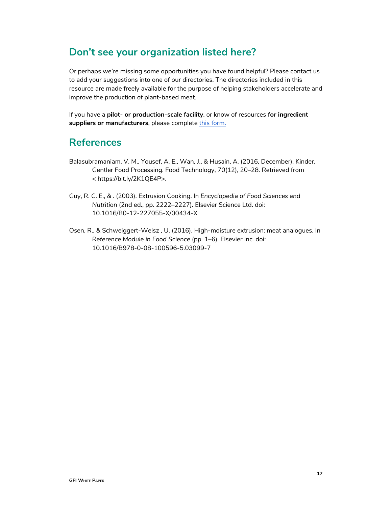# <span id="page-16-0"></span>**Don't see your organization listed here?**

Or perhaps we're missing some opportunities you have found helpful? Please contact us to add your suggestions into one of our directories. The directories included in this resource are made freely available for the purpose of helping stakeholders accelerate and improve the production of plant-based meat.

If you have a **pilot- or production-scale facility**, or know of resources **for ingredient** suppliers or manufacturers, please complete [this form.](https://docs.google.com/forms/d/e/1FAIpQLSeJDeVw9NKzS5OhvbeHDvG28GD33ZJetKBMIqTVqv_-2XS59g/viewform?usp=sf_link)

# <span id="page-16-1"></span>**References**

- Balasubramaniam, V. M., Yousef, A. E., Wan, J., & Husain, A. (2016, December). Kinder, Gentler Food Processing. Food Technology, 70(12), 20–28. Retrieved from < https://bit.ly/2K1QE4P>.
- Guy, R. C. E., & . (2003). Extrusion Cooking. In *Encyclopedia of Food Sciences and Nutrition* (2nd ed., pp. 2222–2227). Elsevier Science Ltd. doi: 10.1016/B0-12-227055-X/00434-X
- <span id="page-16-2"></span>Osen, R., & Schweiggert-Weisz , U. (2016). High-moisture extrusion: meat analogues. In *Reference Module in Food Science* (pp. 1–6). Elsevier Inc. doi: 10.1016/B978-0-08-100596-5.03099-7